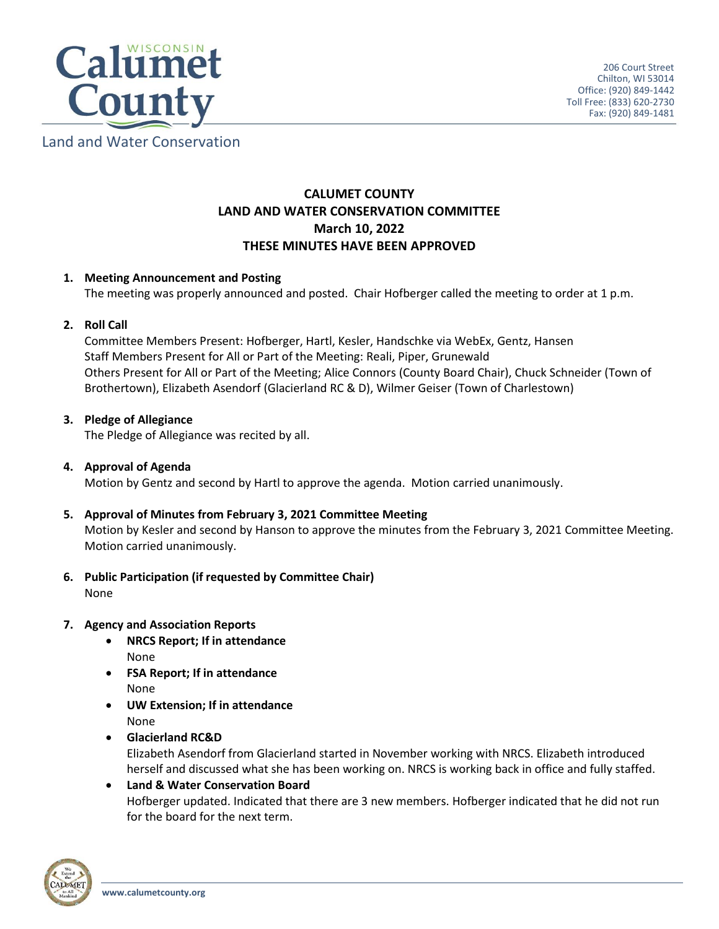

# Land and Water Conservation

# **CALUMET COUNTY LAND AND WATER CONSERVATION COMMITTEE March 10, 2022 THESE MINUTES HAVE BEEN APPROVED**

# **1. Meeting Announcement and Posting**

The meeting was properly announced and posted. Chair Hofberger called the meeting to order at 1 p.m.

# **2. Roll Call**

Committee Members Present: Hofberger, Hartl, Kesler, Handschke via WebEx, Gentz, Hansen Staff Members Present for All or Part of the Meeting: Reali, Piper, Grunewald Others Present for All or Part of the Meeting; Alice Connors (County Board Chair), Chuck Schneider (Town of Brothertown), Elizabeth Asendorf (Glacierland RC & D), Wilmer Geiser (Town of Charlestown)

# **3. Pledge of Allegiance**

The Pledge of Allegiance was recited by all.

### **4. Approval of Agenda**

Motion by Gentz and second by Hartl to approve the agenda. Motion carried unanimously.

#### **5. Approval of Minutes from February 3, 2021 Committee Meeting**

Motion by Kesler and second by Hanson to approve the minutes from the February 3, 2021 Committee Meeting. Motion carried unanimously.

**6. Public Participation (if requested by Committee Chair)** None

#### **7. Agency and Association Reports**

- **NRCS Report; If in attendance** None
- **FSA Report; If in attendance** None
- **UW Extension; If in attendance** None
- **Glacierland RC&D**

Elizabeth Asendorf from Glacierland started in November working with NRCS. Elizabeth introduced herself and discussed what she has been working on. NRCS is working back in office and fully staffed.

 **Land & Water Conservation Board** Hofberger updated. Indicated that there are 3 new members. Hofberger indicated that he did not run for the board for the next term.

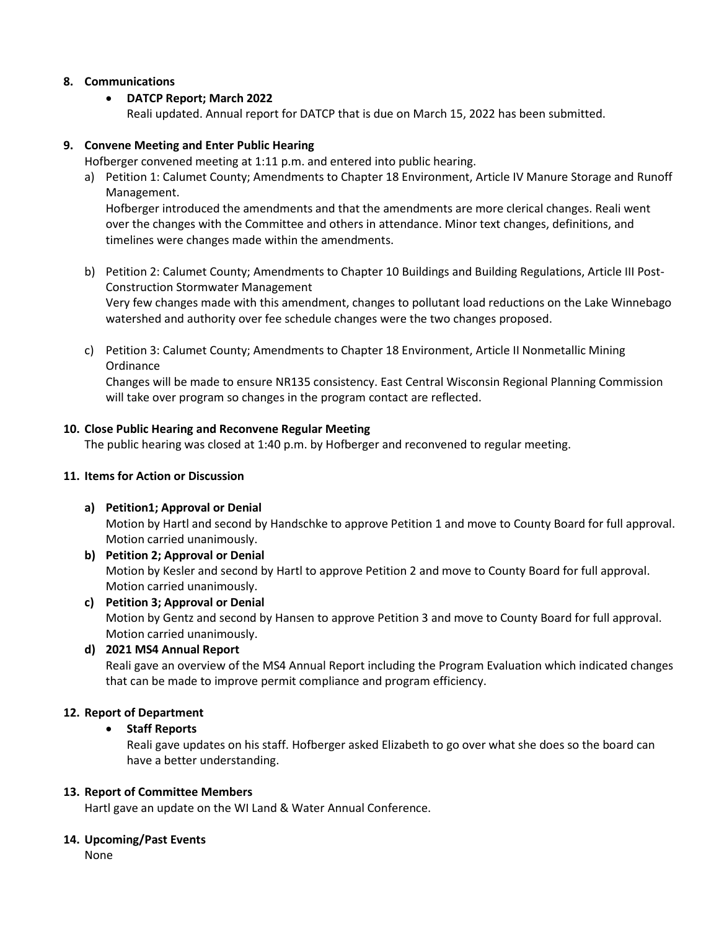# **8. Communications**

# **DATCP Report; March 2022**

Reali updated. Annual report for DATCP that is due on March 15, 2022 has been submitted.

### **9. Convene Meeting and Enter Public Hearing**

Hofberger convened meeting at 1:11 p.m. and entered into public hearing.

a) Petition 1: Calumet County; Amendments to Chapter 18 Environment, Article IV Manure Storage and Runoff Management.

Hofberger introduced the amendments and that the amendments are more clerical changes. Reali went over the changes with the Committee and others in attendance. Minor text changes, definitions, and timelines were changes made within the amendments.

- b) Petition 2: Calumet County; Amendments to Chapter 10 Buildings and Building Regulations, Article III Post-Construction Stormwater Management Very few changes made with this amendment, changes to pollutant load reductions on the Lake Winnebago watershed and authority over fee schedule changes were the two changes proposed.
- c) Petition 3: Calumet County; Amendments to Chapter 18 Environment, Article II Nonmetallic Mining **Ordinance**

Changes will be made to ensure NR135 consistency. East Central Wisconsin Regional Planning Commission will take over program so changes in the program contact are reflected.

# **10. Close Public Hearing and Reconvene Regular Meeting**

The public hearing was closed at 1:40 p.m. by Hofberger and reconvened to regular meeting.

#### **11. Items for Action or Discussion**

**a) Petition1; Approval or Denial**

Motion by Hartl and second by Handschke to approve Petition 1 and move to County Board for full approval. Motion carried unanimously.

- **b) Petition 2; Approval or Denial** Motion by Kesler and second by Hartl to approve Petition 2 and move to County Board for full approval. Motion carried unanimously.
- **c) Petition 3; Approval or Denial** Motion by Gentz and second by Hansen to approve Petition 3 and move to County Board for full approval. Motion carried unanimously.

#### **d) 2021 MS4 Annual Report**

Reali gave an overview of the MS4 Annual Report including the Program Evaluation which indicated changes that can be made to improve permit compliance and program efficiency.

# **12. Report of Department**

#### **Staff Reports**

Reali gave updates on his staff. Hofberger asked Elizabeth to go over what she does so the board can have a better understanding.

#### **13. Report of Committee Members**

Hartl gave an update on the WI Land & Water Annual Conference.

#### **14. Upcoming/Past Events**

None